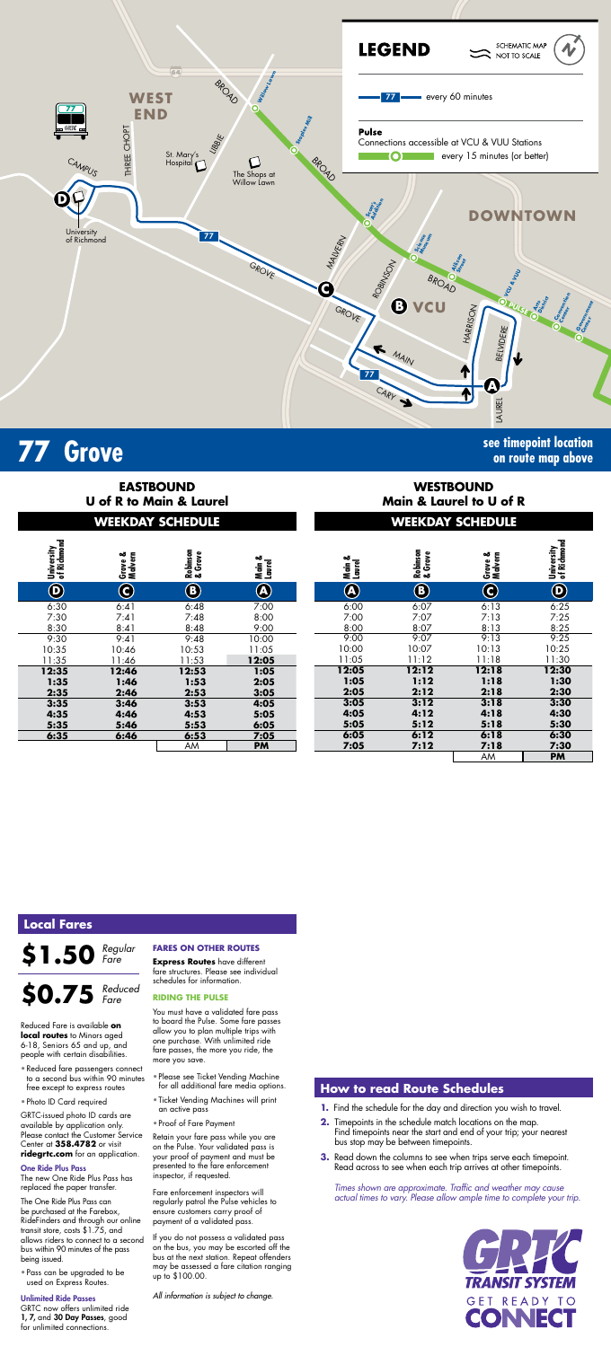

| University<br>of Richmond | Grove &<br>Malvern | Robinson<br>& Grove | Main &<br>Laurel |
|---------------------------|--------------------|---------------------|------------------|
| D                         | 3                  | B                   | Ą                |
| 6:30                      | 6:41               | 6:48                | 7:00             |
| 7:30                      | 7:41               | 7:48                | 8:00             |
| 8:30                      | 8:41               | 8:48                | 9:00             |
| 9:30                      | 9:41               | 9:48                | 10:00            |
| 10:35                     | 10:46              | 10:53               | 11:05            |
| 11:35                     | 11:46              | 11:53               | 12:05            |
| 12:35                     | 12:46              | 12:53               | 1:05             |
| 1:35                      | 1:46               | 1:53                | 2:05             |
| 2:35                      | 2:46               | 2:53                | 3:05             |
| 3:35                      | 3:46               | 3:53                | 4:05             |
| 4:35                      | 4:46               | 4:53                | 5:05             |
| 5:35                      | 5:46               | 5:53                | 6:05             |
| 6:35                      | 6:46               | 6:53                | 7:05             |
|                           |                    | AM                  | PM               |

| of Richmond             | Malvern<br>ఱ<br><b>Grove</b> | Robinson<br>& Grove | Main &<br>Laurel         | Main &<br>Laurel         | Robinson<br>& Grove        | Grove &<br>Malvern | University<br>of Richmond |
|-------------------------|------------------------------|---------------------|--------------------------|--------------------------|----------------------------|--------------------|---------------------------|
| $\overline{\mathbf{D}}$ | $\bf \widehat{c}$            | $\bf{(B)}$          | $\left( {\bf A} \right)$ | $\left( {\bf A} \right)$ | $\left( \mathbf{B}\right)$ | $\bf O$            | $\bf \bm \Theta$          |
| :30                     | 6:41                         | 6:48                | 7:00                     | 6:00                     | 6:07                       | 6:13               | 6:25                      |
| :30                     | 7:41                         | 7:48                | 8:00                     | 7:00                     | 7:07                       | 7:13               | 7:25                      |
| :30                     | 8:41                         | 8:48                | 9:00                     | 8:00                     | 8:07                       | 8:13               | 8:25                      |
| $\overline{.30}$        | 9:41                         | 9:48                | 10:00                    | 9:00                     | 9:07                       | 9:13               | 9:25                      |
| :35                     | 10:46                        | 10:53               | 11:05                    | 10:00                    | 10:07                      | 10:13              | 10:25                     |
| :35                     | 11:46                        | 11:53               | 12:05                    | 11:05                    | 11:12                      | 11:18              | 11:30                     |
| $\overline{35}$         | 12:46                        | 12:53               | 1:05                     | 12:05                    | 12:12                      | 12:18              | 12:30                     |
| :35                     | 1:46                         | 1:53                | 2:05                     | 1:05                     | 1:12                       | 1:18               | 1:30                      |
| :35                     | 2:46                         | 2:53                | 3:05                     | 2:05                     | 2:12                       | 2:18               | 2:30                      |
| $\overline{35}$         | 3:46                         | 3:53                | 4:05                     | 3:05                     | 3:12                       | 3:18               | 3:30                      |
| :35                     | 4:46                         | 4:53                | 5:05                     | 4:05                     | 4:12                       | 4:18               | 4:30                      |
| :35                     | 5:46                         | 5:53                | 6:05                     | 5:05                     | 5:12                       | 5:18               | 5:30                      |
| :35                     | 6:46                         | 6:53<br>AM          | 7:05<br><b>PM</b>        | 6:05<br>7:05             | 6:12<br>7:12               | 6:18<br>7:18<br>AM | 6:30<br>7:30<br><b>PM</b> |

# **77 Grove see timepoint location**

**on route map above**

# **WEEKDAY SCHEDULE WEEKDAY SCHEDULE EASTBOUND U of R to Main & Laurel**

# **WESTBOUND Main & Laurel to U of R**

*Times shown are approximate. Traffic and weather may cause actual times to vary. Please allow ample time to complete your trip.*



## **How to read Route Schedules**

- **1.** Find the schedule for the day and direction you wish to travel.
- **2.** Timepoints in the schedule match locations on the map. Find timepoints near the start and end of your trip; your nearest bus stop may be between timepoints.
- **3.** Read down the columns to see when trips serve each timepoint. Read across to see when each trip arrives at other timepoints.

# **Local Fares**

#### **\$1.50** *Regular Fare*

Reduced Fare is available **on local routes** to Minors aged 6-18, Seniors 65 and up, and people with certain disabilities.

- Reduced fare passengers connect to a second bus within 90 minutes free except to express routes
- Photo ID Card required

GRTC-issued photo ID cards are available by application only. Please contact the Customer Service Center at **358.4782** or visit **ridegrtc.com** for an application.

#### One Ride Plus Pass

### **\$0.75** *Reduced Fare*

The new One Ride Plus Pass has replaced the paper transfer.

The One Ride Plus Pass can be purchased at the Farebox, RideFinders and through our online transit store, costs \$1.75, and allows riders to connect to a second bus within 90 minutes of the pass being issued.

• Pass can be upgraded to be used on Express Routes.

#### Unlimited Ride Passes

GRTC now offers unlimited ride 1, 7, and 30 Day Passes, good for unlimited connections.

#### **FARES ON OTHER ROUTES**

**Express Routes** have different fare structures. Please see individual schedules for information.

#### **RIDING THE PULSE**

You must have a validated fare pass to board the Pulse. Some fare passes allow you to plan multiple trips with one purchase. With unlimited ride fare passes, the more you ride, the more you save.

- Please see Ticket Vending Machine for all additional fare media options.
- Ticket Vending Machines will print an active pass
- Proof of Fare Payment

Retain your fare pass while you are on the Pulse. Your validated pass is your proof of payment and must be presented to the fare enforcement inspector, if requested.

Fare enforcement inspectors will regularly patrol the Pulse vehicles to ensure customers carry proof of payment of a validated pass.

If you do not possess a validated pass on the bus, you may be escorted off the bus at the next station. Repeat offenders may be assessed a fare citation ranging up to \$100.00.

*All information is subject to change.*